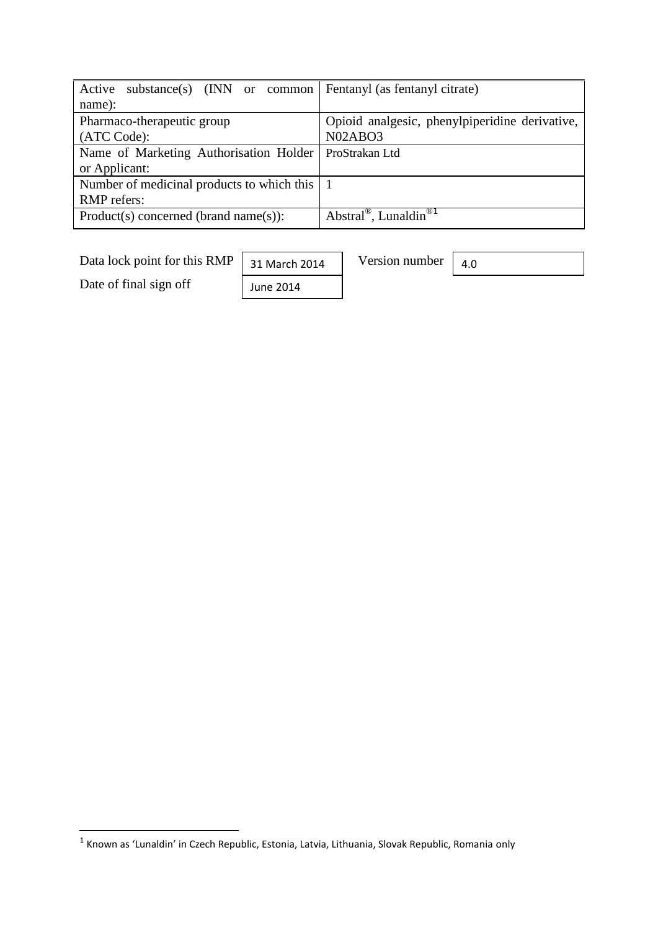| Active<br>substance(s) $(INN \text{ or } common)$ | Fentanyl (as fentanyl citrate)                 |  |
|---------------------------------------------------|------------------------------------------------|--|
| name):                                            |                                                |  |
| Pharmaco-therapeutic group                        | Opioid analgesic, phenylpiperidine derivative, |  |
| (ATC Code):                                       | N02ABO3                                        |  |
| Name of Marketing Authorisation Holder            | ProStrakan Ltd                                 |  |
| or Applicant:                                     |                                                |  |
| Number of medicinal products to which this   1    |                                                |  |
| <b>RMP</b> refers:                                |                                                |  |
| $Product(s) concerned (brand name(s))$ :          | Abstral <sup>®</sup> , Lunaldin <sup>®1</sup>  |  |

Data lock point for this RMP  $\boxed{31}$  March 2014 Version number

31 March 2014

June 2014

Date of final sign off

4.0

 1 Known as 'Lunaldin' in Czech Republic, Estonia, Latvia, Lithuania, Slovak Republic, Romania only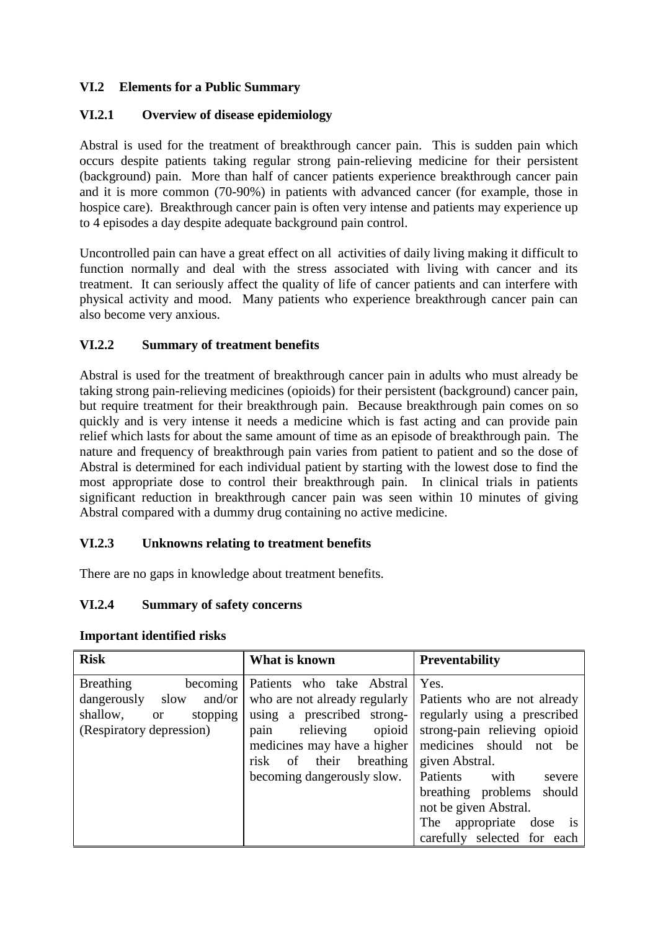## **VI.2 Elements for a Public Summary**

### **VI.2.1 Overview of disease epidemiology**

Abstral is used for the treatment of breakthrough cancer pain. This is sudden pain which occurs despite patients taking regular strong pain-relieving medicine for their persistent (background) pain. More than half of cancer patients experience breakthrough cancer pain and it is more common (70-90%) in patients with advanced cancer (for example, those in hospice care). Breakthrough cancer pain is often very intense and patients may experience up to 4 episodes a day despite adequate background pain control.

Uncontrolled pain can have a great effect on all activities of daily living making it difficult to function normally and deal with the stress associated with living with cancer and its treatment. It can seriously affect the quality of life of cancer patients and can interfere with physical activity and mood. Many patients who experience breakthrough cancer pain can also become very anxious.

# **VI.2.2 Summary of treatment benefits**

Abstral is used for the treatment of breakthrough cancer pain in adults who must already be taking strong pain-relieving medicines (opioids) for their persistent (background) cancer pain, but require treatment for their breakthrough pain. Because breakthrough pain comes on so quickly and is very intense it needs a medicine which is fast acting and can provide pain relief which lasts for about the same amount of time as an episode of breakthrough pain. The nature and frequency of breakthrough pain varies from patient to patient and so the dose of Abstral is determined for each individual patient by starting with the lowest dose to find the most appropriate dose to control their breakthrough pain. In clinical trials in patients significant reduction in breakthrough cancer pain was seen within 10 minutes of giving Abstral compared with a dummy drug containing no active medicine.

#### **VI.2.3 Unknowns relating to treatment benefits**

There are no gaps in knowledge about treatment benefits.

#### **VI.2.4 Summary of safety concerns**

| <b>Risk</b>                           | What is known                 | <b>Preventability</b>                        |
|---------------------------------------|-------------------------------|----------------------------------------------|
| <b>Breathing</b><br>becoming          | Patients who take Abstral     | Yes.                                         |
| dangerously<br>and/or $\vert$<br>slow | who are not already regularly | Patients who are not already                 |
| shallow,<br>stopping<br><sub>or</sub> | using a prescribed strong-    | regularly using a prescribed                 |
| (Respiratory depression)              | relieving<br>opioid<br>pain   | strong-pain relieving opioid                 |
|                                       | medicines may have a higher   | medicines should<br>not be                   |
|                                       | of their breathing<br>risk    | given Abstral.                               |
|                                       | becoming dangerously slow.    | Patients<br>with<br>severe                   |
|                                       |                               | breathing problems<br>should                 |
|                                       |                               | not be given Abstral.                        |
|                                       |                               | The<br>appropriate<br>dose<br>$\overline{1}$ |
|                                       |                               | carefully selected for each                  |

#### **Important identified risks**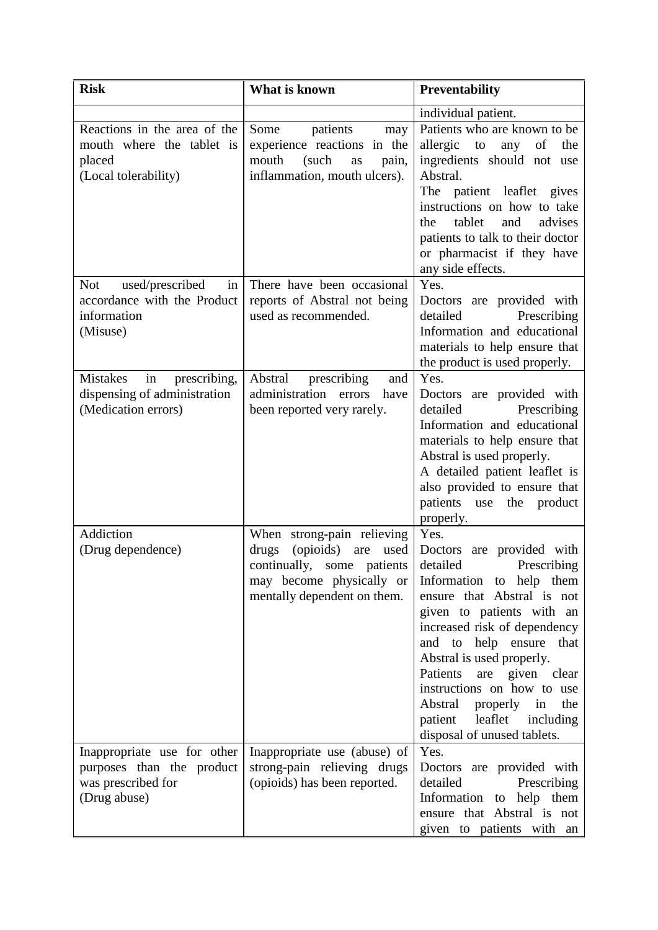| <b>Risk</b>                                                                                    | What is known                                                                                                                                               | <b>Preventability</b>                                                                                                                                                                                                                                                                                                                                                                                          |
|------------------------------------------------------------------------------------------------|-------------------------------------------------------------------------------------------------------------------------------------------------------------|----------------------------------------------------------------------------------------------------------------------------------------------------------------------------------------------------------------------------------------------------------------------------------------------------------------------------------------------------------------------------------------------------------------|
|                                                                                                |                                                                                                                                                             | individual patient.                                                                                                                                                                                                                                                                                                                                                                                            |
| Reactions in the area of the<br>mouth where the tablet is<br>placed<br>(Local tolerability)    | patients<br>Some<br>may<br>experience reactions in the<br>mouth<br>(such<br>as<br>pain,<br>inflammation, mouth ulcers).                                     | Patients who are known to be<br>to<br>allergic<br>any<br>of<br>the<br>ingredients should not use<br>Abstral.<br>The patient leaflet gives<br>instructions on how to take<br>tablet<br>and<br>advises<br>the<br>patients to talk to their doctor<br>or pharmacist if they have<br>any side effects.                                                                                                             |
| used/prescribed<br><b>Not</b><br>in<br>accordance with the Product<br>information<br>(Misuse)  | There have been occasional<br>reports of Abstral not being<br>used as recommended.                                                                          | Yes.<br>Doctors are provided with<br>detailed<br>Prescribing<br>Information and educational<br>materials to help ensure that<br>the product is used properly.                                                                                                                                                                                                                                                  |
| Mistakes<br>in<br>prescribing,<br>dispensing of administration<br>(Medication errors)          | Abstral<br>prescribing<br>and<br>administration errors<br>have<br>been reported very rarely.                                                                | Yes.<br>Doctors are provided with<br>detailed<br>Prescribing<br>Information and educational<br>materials to help ensure that<br>Abstral is used properly.<br>A detailed patient leaflet is<br>also provided to ensure that<br>patients<br>use the product<br>properly.                                                                                                                                         |
| Addiction<br>(Drug dependence)                                                                 | When strong-pain relieving<br>(opioids)<br>drugs<br>are<br>used<br>continually,<br>some patients<br>may become physically or<br>mentally dependent on them. | Yes.<br>Doctors<br>are provided with<br>detailed<br>Prescribing<br>Information to help them<br>ensure that Abstral is not<br>given to patients with an<br>increased risk of dependency<br>and to help ensure<br>that<br>Abstral is used properly.<br>Patients<br>are given clear<br>instructions on how to use<br>Abstral<br>properly<br>the<br>in<br>patient leaflet including<br>disposal of unused tablets. |
| Inappropriate use for other<br>purposes than the product<br>was prescribed for<br>(Drug abuse) | Inappropriate use (abuse) of<br>strong-pain relieving drugs<br>(opioids) has been reported.                                                                 | Yes.<br>Doctors are provided with<br>detailed<br>Prescribing<br>Information to help them<br>ensure that Abstral is not<br>given to patients with an                                                                                                                                                                                                                                                            |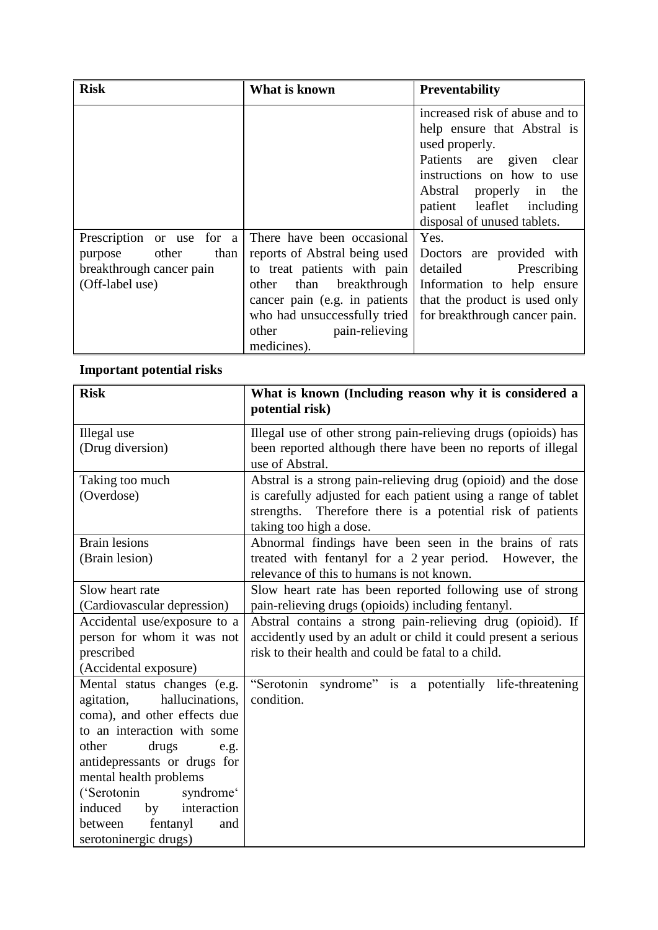| <b>Risk</b>                                                                                          | What is known                                                                                                                                                                                                                  | <b>Preventability</b>                                                                                                                                                                                                                  |
|------------------------------------------------------------------------------------------------------|--------------------------------------------------------------------------------------------------------------------------------------------------------------------------------------------------------------------------------|----------------------------------------------------------------------------------------------------------------------------------------------------------------------------------------------------------------------------------------|
|                                                                                                      |                                                                                                                                                                                                                                | increased risk of abuse and to<br>help ensure that Abstral is<br>used properly.<br>Patients are given<br>clear<br>instructions on how to use<br>Abstral properly in<br>the<br>patient leaflet including<br>disposal of unused tablets. |
| Prescription or use for a<br>other<br>than<br>purpose<br>breakthrough cancer pain<br>(Off-label use) | There have been occasional<br>reports of Abstral being used<br>to treat patients with pain<br>other than breakthrough<br>cancer pain (e.g. in patients)<br>who had unsuccessfully tried<br>other pain-relieving<br>medicines). | Yes.<br>Doctors are provided with<br>detailed Prescribing<br>Information to help ensure<br>that the product is used only<br>for breakthrough cancer pain.                                                                              |

# **Important potential risks**

| <b>Risk</b>                          | What is known (Including reason why it is considered a<br>potential risk)                            |  |
|--------------------------------------|------------------------------------------------------------------------------------------------------|--|
| Illegal use                          | Illegal use of other strong pain-relieving drugs (opioids) has                                       |  |
| (Drug diversion)                     | been reported although there have been no reports of illegal<br>use of Abstral.                      |  |
| Taking too much                      | Abstral is a strong pain-relieving drug (opioid) and the dose                                        |  |
| (Overdose)                           | is carefully adjusted for each patient using a range of tablet                                       |  |
|                                      | strengths. Therefore there is a potential risk of patients                                           |  |
|                                      | taking too high a dose.                                                                              |  |
| <b>Brain lesions</b>                 |                                                                                                      |  |
| (Brain lesion)                       | Abnormal findings have been seen in the brains of rats                                               |  |
|                                      | treated with fentanyl for a 2 year period. However, the<br>relevance of this to humans is not known. |  |
| Slow heart rate                      |                                                                                                      |  |
|                                      | Slow heart rate has been reported following use of strong                                            |  |
| (Cardiovascular depression)          | pain-relieving drugs (opioids) including fentanyl.                                                   |  |
| Accidental use/exposure to a         | Abstral contains a strong pain-relieving drug (opioid). If                                           |  |
| person for whom it was not           | accidently used by an adult or child it could present a serious                                      |  |
| prescribed                           | risk to their health and could be fatal to a child.                                                  |  |
| (Accidental exposure)                |                                                                                                      |  |
| Mental status changes (e.g.          | syndrome" is a potentially life-threatening<br>"Serotonin                                            |  |
| hallucinations,<br>agitation,        | condition.                                                                                           |  |
| coma), and other effects due         |                                                                                                      |  |
| to an interaction with some          |                                                                                                      |  |
| other<br>drugs<br>e.g.               |                                                                                                      |  |
| antidepressants or drugs for         |                                                                                                      |  |
| mental health problems               |                                                                                                      |  |
| ('Serotonin<br>syndrome <sup>c</sup> |                                                                                                      |  |
| interaction<br>induced<br>by         |                                                                                                      |  |
| fentanyl<br>between<br>and           |                                                                                                      |  |
| serotoninergic drugs)                |                                                                                                      |  |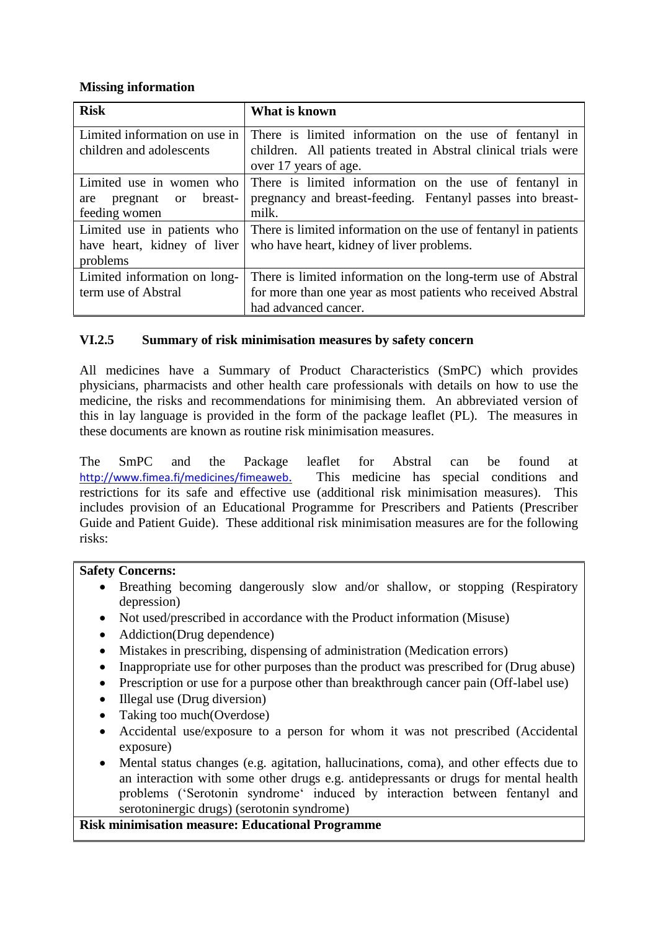#### **Missing information**

| <b>Risk</b>                   | What is known                                                   |  |
|-------------------------------|-----------------------------------------------------------------|--|
| Limited information on use in | There is limited information on the use of fentanyl in          |  |
| children and adolescents      | children. All patients treated in Abstral clinical trials were  |  |
|                               | over 17 years of age.                                           |  |
| Limited use in women who      | There is limited information on the use of fentanyl in          |  |
| breast-<br>pregnant or<br>are | pregnancy and breast-feeding. Fentanyl passes into breast-      |  |
| feeding women                 | milk.                                                           |  |
| Limited use in patients who   | There is limited information on the use of fentanyl in patients |  |
| have heart, kidney of liver   | who have heart, kidney of liver problems.                       |  |
| problems                      |                                                                 |  |
| Limited information on long-  | There is limited information on the long-term use of Abstral    |  |
| term use of Abstral           | for more than one year as most patients who received Abstral    |  |
|                               | had advanced cancer.                                            |  |

## **VI.2.5 Summary of risk minimisation measures by safety concern**

All medicines have a Summary of Product Characteristics (SmPC) which provides physicians, pharmacists and other health care professionals with details on how to use the medicine, the risks and recommendations for minimising them. An abbreviated version of this in lay language is provided in the form of the package leaflet (PL). The measures in these documents are known as routine risk minimisation measures.

The SmPC and the Package leaflet for Abstral can be found at <http://www.fimea.fi/medicines/fimeaweb>. This medicine has special conditions and restrictions for its safe and effective use (additional risk minimisation measures). This includes provision of an Educational Programme for Prescribers and Patients (Prescriber Guide and Patient Guide). These additional risk minimisation measures are for the following risks:

#### **Safety Concerns:**

- Breathing becoming dangerously slow and/or shallow, or stopping (Respiratory depression)
- Not used/prescribed in accordance with the Product information (Misuse)
- Addiction(Drug dependence)
- Mistakes in prescribing, dispensing of administration (Medication errors)
- Inappropriate use for other purposes than the product was prescribed for (Drug abuse)
- Prescription or use for a purpose other than breakthrough cancer pain (Off-label use)
- Illegal use (Drug diversion)
- Taking too much(Overdose)
- Accidental use/exposure to a person for whom it was not prescribed (Accidental exposure)
- Mental status changes (e.g. agitation, hallucinations, coma), and other effects due to an interaction with some other drugs e.g. antidepressants or drugs for mental health problems ('Serotonin syndrome' induced by interaction between fentanyl and serotoninergic drugs) (serotonin syndrome)

#### **Risk minimisation measure: Educational Programme**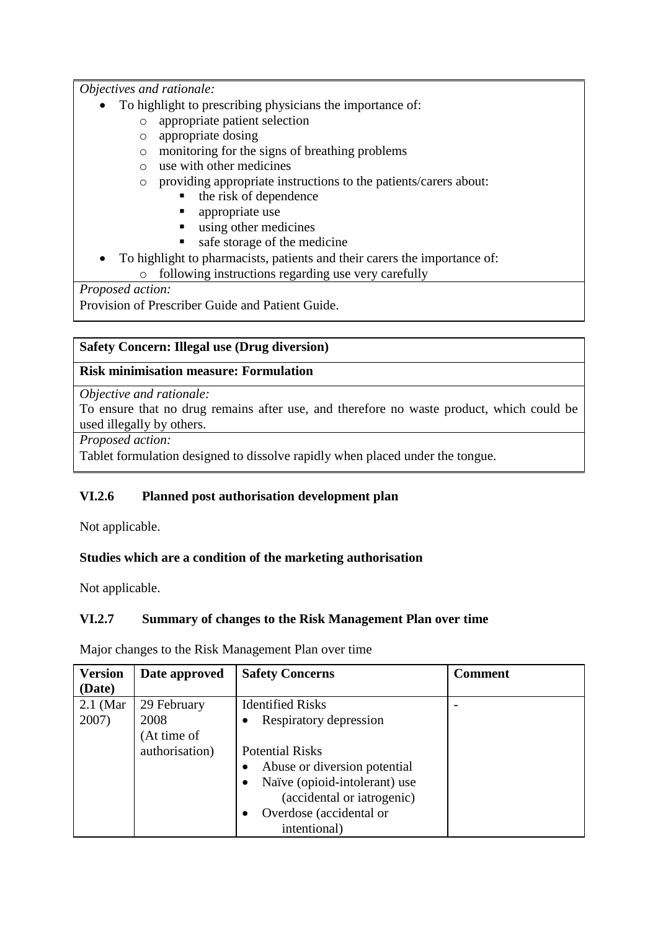*Objectives and rationale:*

- To highlight to prescribing physicians the importance of:
	- o appropriate patient selection
	- o appropriate dosing
	- o monitoring for the signs of breathing problems
	- o use with other medicines
	- o providing appropriate instructions to the patients/carers about:
		- $\blacksquare$  the risk of dependence
		- **appropriate use**
		- using other medicines
		- safe storage of the medicine
- To highlight to pharmacists, patients and their carers the importance of:
	- o following instructions regarding use very carefully

*Proposed action:*

Provision of Prescriber Guide and Patient Guide.

## **Safety Concern: Illegal use (Drug diversion)**

#### **Risk minimisation measure: Formulation**

#### *Objective and rationale:*

To ensure that no drug remains after use, and therefore no waste product, which could be used illegally by others.

*Proposed action:*

Tablet formulation designed to dissolve rapidly when placed under the tongue.

# **VI.2.6 Planned post authorisation development plan**

Not applicable.

#### **Studies which are a condition of the marketing authorisation**

Not applicable.

# **VI.2.7 Summary of changes to the Risk Management Plan over time**

Major changes to the Risk Management Plan over time

| <b>Version</b> | Date approved  | <b>Safety Concerns</b>        | <b>Comment</b> |
|----------------|----------------|-------------------------------|----------------|
| (Date)         |                |                               |                |
| $2.1$ (Mar)    | 29 February    | <b>Identified Risks</b>       |                |
| 2007)          | 2008           | Respiratory depression        |                |
|                | (At time of    |                               |                |
|                | authorisation) | <b>Potential Risks</b>        |                |
|                |                | Abuse or diversion potential  |                |
|                |                | Naïve (opioid-intolerant) use |                |
|                |                | (accidental or iatrogenic)    |                |
|                |                | Overdose (accidental or       |                |
|                |                | intentional)                  |                |